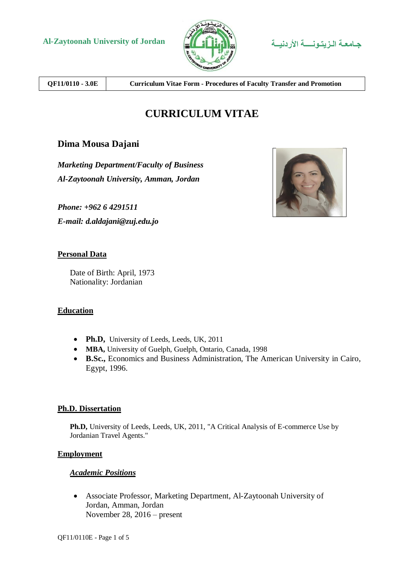



**QF11/0110 - 3.0E Curriculum Vitae Form - Procedures of Faculty Transfer and Promotion**

# **CURRICULUM VITAE**

## **Dima Mousa Dajani**

*Marketing Department/Faculty of Business Al-Zaytoonah University, Amman, Jordan*

*Phone: +962 6 4291511*

*E-mail: d.aldajani@zuj.edu.jo*

## **Personal Data**

Date of Birth: April, 1973 Nationality: Jordanian

## **Education**

- Ph.D, University of Leeds, Leeds, UK, 2011
- **MBA,** University of Guelph, Guelph, Ontario, Canada, 1998
- **B.Sc.,** Economics and Business Administration, The American University in Cairo, Egypt, 1996.

## **Ph.D. Dissertation**

**Ph.D,** University of Leeds, Leeds, UK, 2011, "A Critical Analysis of E-commerce Use by Jordanian Travel Agents."

## **Employment**

## *Academic Positions*

 Associate Professor, Marketing Department, Al-Zaytoonah University of Jordan, Amman, Jordan November 28, 2016 – present

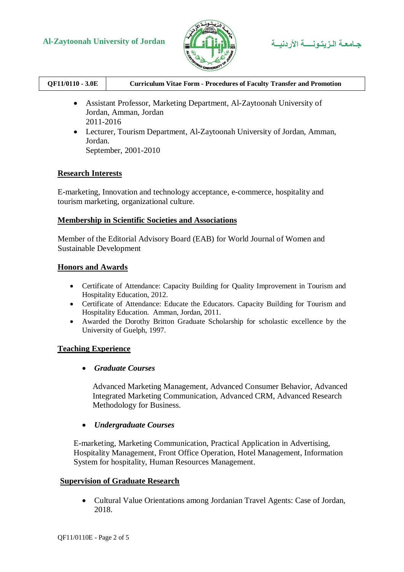



| QF11/0110 - 3.0E | <b>Curriculum Vitae Form - Procedures of Faculty Transfer and Promotion</b> |
|------------------|-----------------------------------------------------------------------------|
|                  |                                                                             |

- Assistant Professor, Marketing Department, Al-Zaytoonah University of Jordan, Amman, Jordan 2011-2016
- Lecturer, Tourism Department, Al-Zaytoonah University of Jordan, Amman, Jordan. September, 2001-2010

## **Research Interests**

E-marketing, Innovation and technology acceptance, e-commerce, hospitality and tourism marketing, organizational culture.

## **Membership in Scientific Societies and Associations**

Member of the Editorial Advisory Board (EAB) for World Journal of Women and Sustainable Development

## **Honors and Awards**

- Certificate of Attendance: Capacity Building for Quality Improvement in Tourism and Hospitality Education, 2012.
- Certificate of Attendance: Educate the Educators. Capacity Building for Tourism and Hospitality Education. Amman, Jordan, 2011.
- Awarded the Dorothy Britton Graduate Scholarship for scholastic excellence by the University of Guelph, 1997.

## **Teaching Experience**

*Graduate Courses*

Advanced Marketing Management, Advanced Consumer Behavior, Advanced Integrated Marketing Communication, Advanced CRM, Advanced Research Methodology for Business.

*Undergraduate Courses*

E-marketing, Marketing Communication, Practical Application in Advertising, Hospitality Management, Front Office Operation, Hotel Management, Information System for hospitality, Human Resources Management.

## **Supervision of Graduate Research**

 Cultural Value Orientations among Jordanian Travel Agents: Case of Jordan, 2018.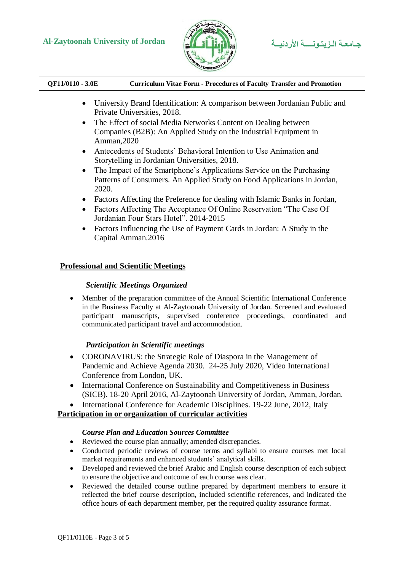# **Al-Zaytoonah University of Jordan األردنيــة الـزيتـونــــة جـامعـة**



| QF11/0110 - 3.0E | <b>Curriculum Vitae Form - Procedures of Faculty Transfer and Promotion</b> |
|------------------|-----------------------------------------------------------------------------|
|                  |                                                                             |

- University Brand Identification: A comparison between Jordanian Public and Private Universities, 2018.
- The Effect of social Media Networks Content on Dealing between Companies (B2B): An Applied Study on the Industrial Equipment in Amman,2020
- Antecedents of Students' Behavioral Intention to Use Animation and Storytelling in Jordanian Universities, 2018.
- The Impact of the Smartphone's Applications Service on the Purchasing Patterns of Consumers. An Applied Study on Food Applications in Jordan, 2020.
- Factors Affecting the Preference for dealing with Islamic Banks in Jordan,
- Factors Affecting The Acceptance Of Online Reservation "The Case Of Jordanian Four Stars Hotel". 2014-2015
- Factors Influencing the Use of Payment Cards in Jordan: A Study in the Capital Amman.2016

## **Professional and Scientific Meetings**

## *Scientific Meetings Organized*

 Member of the preparation committee of the Annual Scientific International Conference in the Business Faculty at Al-Zaytoonah University of Jordan. Screened and evaluated participant manuscripts, supervised conference proceedings, coordinated and communicated participant travel and accommodation.

## *Participation in Scientific meetings*

- CORONAVIRUS: the Strategic Role of Diaspora in the Management of Pandemic and Achieve Agenda 2030. 24-25 July 2020, Video International Conference from London, UK.
- International Conference on Sustainability and Competitiveness in Business (SICB). 18-20 April 2016, Al-Zaytoonah University of Jordan, Amman, Jordan.
- International Conference for Academic Disciplines. 19-22 June, 2012, Italy

## **Participation in or organization of curricular activities**

## *Course Plan and Education Sources Committee*

- Reviewed the course plan annually; amended discrepancies.
- Conducted periodic reviews of course terms and syllabi to ensure courses met local market requirements and enhanced students' analytical skills.
- Developed and reviewed the brief Arabic and English course description of each subject to ensure the objective and outcome of each course was clear.
- Reviewed the detailed course outline prepared by department members to ensure it reflected the brief course description, included scientific references, and indicated the office hours of each department member, per the required quality assurance format.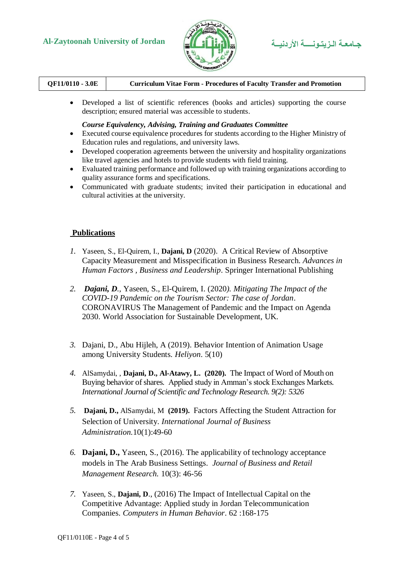# **Al-Zaytoonah University of Jordan األردنيــة الـزيتـونــــة جـامعـة**



| QF11/0110 - 3.0E | <b>Curriculum Vitae Form - Procedures of Faculty Transfer and Promotion</b> |
|------------------|-----------------------------------------------------------------------------|
|                  |                                                                             |

 Developed a list of scientific references (books and articles) supporting the course description; ensured material was accessible to students.

### *Course Equivalency, Advising, Training and Graduates Committee*

- Executed course equivalence procedures for students according to the Higher Ministry of Education rules and regulations, and university laws.
- Developed cooperation agreements between the university and hospitality organizations like travel agencies and hotels to provide students with field training.
- Evaluated training performance and followed up with training organizations according to quality assurance forms and specifications.
- Communicated with graduate students; invited their participation in educational and cultural activities at the university.

## **Publications**

- *1.* Yaseen, S., El-Quirem, I., **Dajani, D** (2020). A Critical Review of Absorptive Capacity Measurement and Misspecification in Business Research. *Advances in Human Factors , Business and Leadership*. Springer International Publishing
- *2. Dajani, D.,* Yaseen, S., El-Quirem, I. (2020*). Mitigating The Impact of the COVID-19 Pandemic on the Tourism Sector: The case of Jordan*. CORONAVIRUS The Management of Pandemic and the Impact on Agenda 2030. World Association for Sustainable Development, UK.
- *3.* Dajani, D., Abu Hijleh, A (2019). Behavior Intention of Animation Usage among University Students*. Heliyon*. 5(10)
- *4.* AlSamydai, , **Dajani, D., Al-Atawy, L. (2020).** The Impact of Word of Mouth on Buying behavior of shares*.* Applied study in Amman's stock Exchanges Markets*. International Journal of Scientific and Technology Research. 9(2): 5326*
- *5.* **Dajani, D.,** AlSamydai, M **(2019).** Factors Affecting the Student Attraction for Selection of University. *International Journal of Business Administration.*10(1):49-60
- *6.* **Dajani, D.,** Yaseen, S., (2016). The applicability of technology acceptance models in The Arab Business Settings. *Journal of Business and Retail Management Research.* 10(3): 46-56
- *7.* Yaseen, S., **Dajani, D**., (2016) The Impact of Intellectual Capital on the Competitive Advantage: Applied study in Jordan Telecommunication Companies. *Computers in Human Behavior*. 62 :168-175